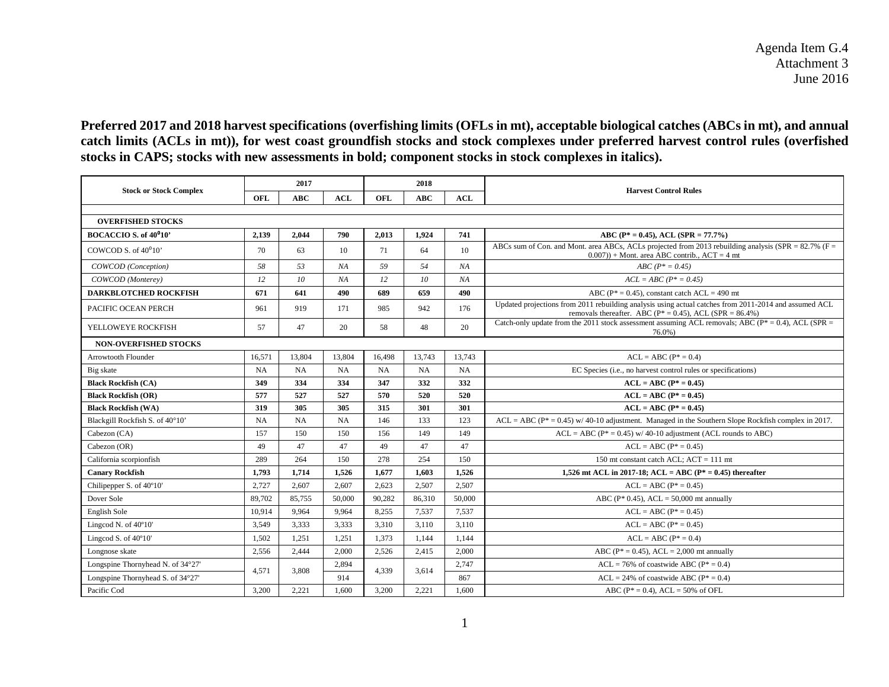Agenda Item G.4 Attachment 3 June 2016

**Preferred 2017 and 2018 harvest specifications (overfishing limits (OFLs in mt), acceptable biological catches (ABCs in mt), and annual catch limits (ACLs in mt)), for west coast groundfish stocks and stock complexes under preferred harvest control rules (overfished stocks in CAPS; stocks with new assessments in bold; component stocks in stock complexes in italics).**

|                                    | 2017      |        |        | 2018      |        |           |                                                                                                                                                                       |  |  |  |  |
|------------------------------------|-----------|--------|--------|-----------|--------|-----------|-----------------------------------------------------------------------------------------------------------------------------------------------------------------------|--|--|--|--|
| <b>Stock or Stock Complex</b>      | OFL       | ABC    | ACL    | OFL       | ABC    | ACL       | <b>Harvest Control Rules</b>                                                                                                                                          |  |  |  |  |
|                                    |           |        |        |           |        |           |                                                                                                                                                                       |  |  |  |  |
| <b>OVERFISHED STOCKS</b>           |           |        |        |           |        |           |                                                                                                                                                                       |  |  |  |  |
| BOCACCIO S. of 40 <sup>0</sup> 10' | 2,139     | 2,044  | 790    | 2,013     | 1,924  | 741       | ABC ( $P^* = 0.45$ ), ACL ( $SPR = 77.7\%$ )                                                                                                                          |  |  |  |  |
| COWCOD S. of $40^010$              | 70        | 63     | 10     | 71        | 64     | 10        | ABCs sum of Con. and Mont. area ABCs, ACLs projected from 2013 rebuilding analysis (SPR = $82.7\%$ (F =<br>$(0.007)$ + Mont. area ABC contrib ACT = 4 mt              |  |  |  |  |
| COWCOD (Conception)                | 58        | 53     | NA     | 59        | 54     | NA        | $ABC (P^* = 0.45)$                                                                                                                                                    |  |  |  |  |
| COWCOD (Monterev)                  | 12        | 10     | NA     | 12        | 10     | NA        | $ACL = ABC (P^* = 0.45)$                                                                                                                                              |  |  |  |  |
| <b>DARKBLOTCHED ROCKFISH</b>       | 671       | 641    | 490    | 689       | 659    | 490       | ABC ( $P^* = 0.45$ ), constant catch ACL = 490 mt                                                                                                                     |  |  |  |  |
| PACIFIC OCEAN PERCH                | 961       | 919    | 171    | 985       | 942    | 176       | Updated projections from 2011 rebuilding analysis using actual catches from 2011-2014 and assumed ACL<br>removals thereafter. ABC ( $P^* = 0.45$ ), ACL (SPR = 86.4%) |  |  |  |  |
| YELLOWEYE ROCKFISH                 | 57        | 47     | 20     | 58        | 48     | 20        | Catch-only update from the 2011 stock assessment assuming ACL removals; ABC ( $P^* = 0.4$ ), ACL (SPR =<br>76.0%)                                                     |  |  |  |  |
| <b>NON-OVERFISHED STOCKS</b>       |           |        |        |           |        |           |                                                                                                                                                                       |  |  |  |  |
| Arrowtooth Flounder                | 16,571    | 13,804 | 13,804 | 16,498    | 13,743 | 13,743    | $ACL = ABC (P^* = 0.4)$                                                                                                                                               |  |  |  |  |
| Big skate                          | <b>NA</b> | NA     | NA     | <b>NA</b> | NA     | <b>NA</b> | EC Species (i.e., no harvest control rules or specifications)                                                                                                         |  |  |  |  |
| <b>Black Rockfish (CA)</b>         | 349       | 334    | 334    | 347       | 332    | 332       | $ACL = ABC (P* = 0.45)$                                                                                                                                               |  |  |  |  |
| <b>Black Rockfish (OR)</b>         | 577       | 527    | 527    | 570       | 520    | 520       | $ACL = ABC (P^* = 0.45)$                                                                                                                                              |  |  |  |  |
| <b>Black Rockfish (WA)</b>         | 319       | 305    | 305    | 315       | 301    | 301       | $ACL = ABC (P^* = 0.45)$                                                                                                                                              |  |  |  |  |
| Blackgill Rockfish S. of 40°10'    | <b>NA</b> | NA     | NA     | 146       | 133    | 123       | $ACL = ABC (P^* = 0.45)$ w/ 40-10 adjustment. Managed in the Southern Slope Rockfish complex in 2017.                                                                 |  |  |  |  |
| Cabezon (CA)                       | 157       | 150    | 150    | 156       | 149    | 149       | $ACL = ABC (P^* = 0.45)$ w/ 40-10 adjustment (ACL rounds to ABC)                                                                                                      |  |  |  |  |
| Cabezon (OR)                       | 49        | 47     | 47     | 49        | 47     | 47        | $ACL = ABC (P^* = 0.45)$                                                                                                                                              |  |  |  |  |
| California scorpionfish            | 289       | 264    | 150    | 278       | 254    | 150       | 150 mt constant catch ACL: $ACT = 111$ mt                                                                                                                             |  |  |  |  |
| <b>Canary Rockfish</b>             | 1,793     | 1,714  | 1,526  | 1,677     | 1,603  | 1,526     | 1,526 mt ACL in 2017-18; ACL = ABC ( $P^* = 0.45$ ) thereafter                                                                                                        |  |  |  |  |
| Chilipepper S. of 40°10'           | 2,727     | 2.607  | 2.607  | 2.623     | 2.507  | 2.507     | $ACL = ABC (P^* = 0.45)$                                                                                                                                              |  |  |  |  |
| Dover Sole                         | 89,702    | 85,755 | 50,000 | 90,282    | 86,310 | 50,000    | ABC ( $P^*$ 0.45), ACL = 50,000 mt annually                                                                                                                           |  |  |  |  |
| English Sole                       | 10,914    | 9.964  | 9.964  | 8,255     | 7,537  | 7,537     | $ACL = ABC (P^* = 0.45)$                                                                                                                                              |  |  |  |  |
| Lingcod N. of 40°10'               | 3.549     | 3,333  | 3.333  | 3.310     | 3.110  | 3.110     | $ACL = ABC (P^* = 0.45)$                                                                                                                                              |  |  |  |  |
| Lingcod S. of 40°10'               | 1,502     | 1,251  | 1,251  | 1,373     | 1.144  | 1,144     | $ACL = ABC (P^* = 0.4)$                                                                                                                                               |  |  |  |  |
| Longnose skate                     | 2,556     | 2.444  | 2.000  | 2.526     | 2.415  | 2,000     | ABC ( $P^* = 0.45$ ), ACL = 2,000 mt annually                                                                                                                         |  |  |  |  |
| Longspine Thornyhead N. of 34°27'  | 4.571     |        | 2.894  | 4.339     |        | 2.747     | $ACL = 76\%$ of coastwide ABC ( $P^* = 0.4$ )                                                                                                                         |  |  |  |  |
| Longspine Thornyhead S. of 34°27'  |           | 3.808  | 914    |           | 3.614  | 867       | $ACL = 24\%$ of coastwide ABC ( $P^* = 0.4$ )                                                                                                                         |  |  |  |  |
| Pacific Cod                        | 3,200     | 2,221  | 1,600  | 3,200     | 2,221  | 1,600     | ABC ( $P^* = 0.4$ ), ACL = 50% of OFL                                                                                                                                 |  |  |  |  |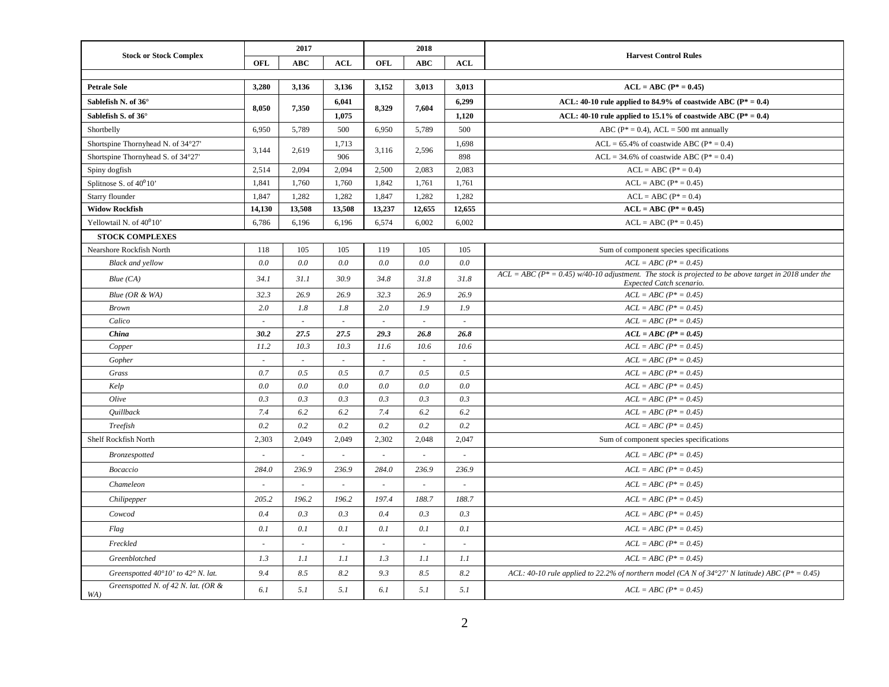| <b>Stock or Stock Complex</b>              | 2017   |                             |                             | 2018              |                          |                              |                                                                                                                                      |
|--------------------------------------------|--------|-----------------------------|-----------------------------|-------------------|--------------------------|------------------------------|--------------------------------------------------------------------------------------------------------------------------------------|
|                                            | OFL    | <b>ABC</b>                  | <b>ACL</b>                  | OFL<br><b>ABC</b> | <b>ACL</b>               | <b>Harvest Control Rules</b> |                                                                                                                                      |
|                                            |        |                             |                             |                   |                          |                              |                                                                                                                                      |
| <b>Petrale Sole</b>                        | 3,280  | 3,136                       | 3,136                       | 3,152             | 3,013                    | 3,013                        | $ACL = ABC (P^* = 0.45)$                                                                                                             |
| Sablefish N. of 36°                        | 8,050  | 7,350                       | 6,041                       | 8,329             | 7,604                    | 6,299                        | ACL: 40-10 rule applied to 84.9% of coastwide ABC ( $P^* = 0.4$ )                                                                    |
| Sablefish S. of 36°                        |        |                             | 1,075                       |                   |                          | 1,120                        | ACL: 40-10 rule applied to 15.1% of coastwide ABC ( $P^* = 0.4$ )                                                                    |
| Shortbelly                                 | 6,950  | 5,789                       | 500                         | 6,950             | 5,789                    | 500                          | ABC ( $P^* = 0.4$ ), ACL = 500 mt annually                                                                                           |
| Shortspine Thornyhead N. of 34°27'         |        | 2,619                       | 1,713                       |                   | 2,596                    | 1,698                        | $ACL = 65.4\%$ of coastwide ABC ( $P^* = 0.4$ )                                                                                      |
| Shortspine Thornyhead S. of 34°27'         | 3,144  |                             | 906                         | 3,116             |                          | 898                          | $ACL = 34.6\%$ of coastwide ABC ( $P^* = 0.4$ )                                                                                      |
| Spiny dogfish                              | 2,514  | 2,094                       | 2,094                       | 2,500             | 2,083                    | 2,083                        | $ACL = ABC (P^* = 0.4)$                                                                                                              |
| Splitnose S. of $40^010$                   | 1,841  | 1,760                       | 1,760                       | 1,842             | 1,761                    | 1,761                        | $ACL = ABC (P^* = 0.45)$                                                                                                             |
| Starry flounder                            | 1,847  | 1,282                       | 1,282                       | 1,847             | 1,282                    | 1,282                        | $ACL = ABC (P^* = 0.4)$                                                                                                              |
| <b>Widow Rockfish</b>                      | 14,130 | 13,508                      | 13,508                      | 13,237            | 12,655                   | 12,655                       | $ACL = ABC (P* = 0.45)$                                                                                                              |
| Yellowtail N. of $40^010$                  | 6,786  | 6,196                       | 6,196                       | 6,574             | 6,002                    | 6,002                        | $ACL = ABC (P^* = 0.45)$                                                                                                             |
| <b>STOCK COMPLEXES</b>                     |        |                             |                             |                   |                          |                              |                                                                                                                                      |
| Nearshore Rockfish North                   | 118    | 105                         | 105                         | 119               | 105                      | 105                          | Sum of component species specifications                                                                                              |
| <b>Black</b> and yellow                    | 0.0    | 0.0                         | 0.0                         | 0.0               | 0.0                      | 0.0                          | $ACL = ABC (P^* = 0.45)$                                                                                                             |
| Blue(CA)                                   | 34.1   | 31.1                        | 30.9                        | 34.8              | 31.8                     | 31.8                         | $ACL = ABC (P^* = 0.45)$ w/40-10 adjustment. The stock is projected to be above target in 2018 under the<br>Expected Catch scenario. |
| Blue $(OR & WA)$                           | 32.3   | 26.9                        | 26.9                        | 32.3              | 26.9                     | 26.9                         | $ACL = ABC (P^* = 0.45)$                                                                                                             |
| <b>Brown</b>                               | 2.0    | 1.8                         | 1.8                         | 2.0               | 1.9                      | 1.9                          | $ACL = ABC (P^* = 0.45)$                                                                                                             |
| Calico                                     | $\sim$ | $\mathcal{L}_{\mathcal{A}}$ | $\mathcal{L}_{\mathcal{A}}$ | $\sim$            | $\sim$                   | $\sim$                       | $ACL = ABC (P^* = 0.45)$                                                                                                             |
| China                                      | 30.2   | 27.5                        | 27.5                        | 29.3              | 26.8                     | 26.8                         | $ACL = ABC (P^* = 0.45)$                                                                                                             |
| Copper                                     | 11.2   | 10.3                        | 10.3                        | 11.6              | 10.6                     | 10.6                         | $ACL = ABC (P^* = 0.45)$                                                                                                             |
| Gopher                                     | $\sim$ | ×.                          | $\sim$                      | ×.                | ×.                       | ÷.                           | $ACL = ABC (P^* = 0.45)$                                                                                                             |
| Grass                                      | 0.7    | 0.5                         | 0.5                         | 0.7               | 0.5                      | 0.5                          | $ACL = ABC (P^* = 0.45)$                                                                                                             |
| Kelp                                       | 0.0    | 0.0                         | 0.0                         | 0.0               | 0.0                      | 0.0                          | $ACL = ABC (P^* = 0.45)$                                                                                                             |
| Olive                                      | 0.3    | 0.3                         | 0.3                         | 0.3               | 0.3                      | 0.3                          | $ACL = ABC (P^* = 0.45)$                                                                                                             |
| Quillback                                  | 7.4    | 6.2                         | 6.2                         | 7.4               | 6.2                      | 6.2                          | $ACL = ABC (P^* = 0.45)$                                                                                                             |
| Treefish                                   | 0.2    | 0.2                         | 0.2                         | 0.2               | 0.2                      | 0.2                          | $ACL = ABC (P^* = 0.45)$                                                                                                             |
| Shelf Rockfish North                       | 2,303  | 2,049                       | 2,049                       | 2,302             | 2,048                    | 2,047                        | Sum of component species specifications                                                                                              |
| Bronzespotted                              |        | $\sim$                      | $\sim$                      | $\sim$            |                          |                              | $ACL = ABC (P^* = 0.45)$                                                                                                             |
| Bocaccio                                   | 284.0  | 236.9                       | 236.9                       | 284.0             | 236.9                    | 236.9                        | $ACL = ABC (P^* = 0.45)$                                                                                                             |
| Chameleon                                  |        |                             | $\overline{\phantom{a}}$    | $\sim$            | $\overline{\phantom{a}}$ | $\overline{\phantom{a}}$     | $ACL = ABC (P^* = 0.45)$                                                                                                             |
| Chilipepper                                | 205.2  | 196.2                       | 196.2                       | 197.4             | 188.7                    | 188.7                        | $ACL = ABC (P^* = 0.45)$                                                                                                             |
| Cowcod                                     | 0.4    | 0.3                         | 0.3                         | 0.4               | 0.3                      | 0.3                          | $ACL = ABC (P* = 0.45)$                                                                                                              |
| Flag                                       | 0.1    | 0.1                         | 0.1                         | 0.1               | 0.1                      | 0.1                          | $ACL = ABC (P^* = 0.45)$                                                                                                             |
| Freckled                                   |        |                             |                             |                   |                          |                              | $ACL = ABC (P^* = 0.45)$                                                                                                             |
| Greenblotched                              | 1.3    | 1.1                         | 1.1                         | 1.3               | 1.1                      | 1.1                          | $ACL = ABC (P^* = 0.45)$                                                                                                             |
| Greenspotted 40°10' to 42° N. lat.         | 9.4    | 8.5                         | 8.2                         | 9.3               | 8.5                      | 8.2                          | ACL: 40-10 rule applied to 22.2% of northern model (CA N of $34^{\circ}27'$ N latitude) ABC ( $P^* = 0.45$ )                         |
| Greenspotted N. of 42 N. lat. (OR &<br>WA) | 6.1    | 5.1                         | 5.1                         | 6.1               | 5.1                      | 5.1                          | $ACL = ABC (P^* = 0.45)$                                                                                                             |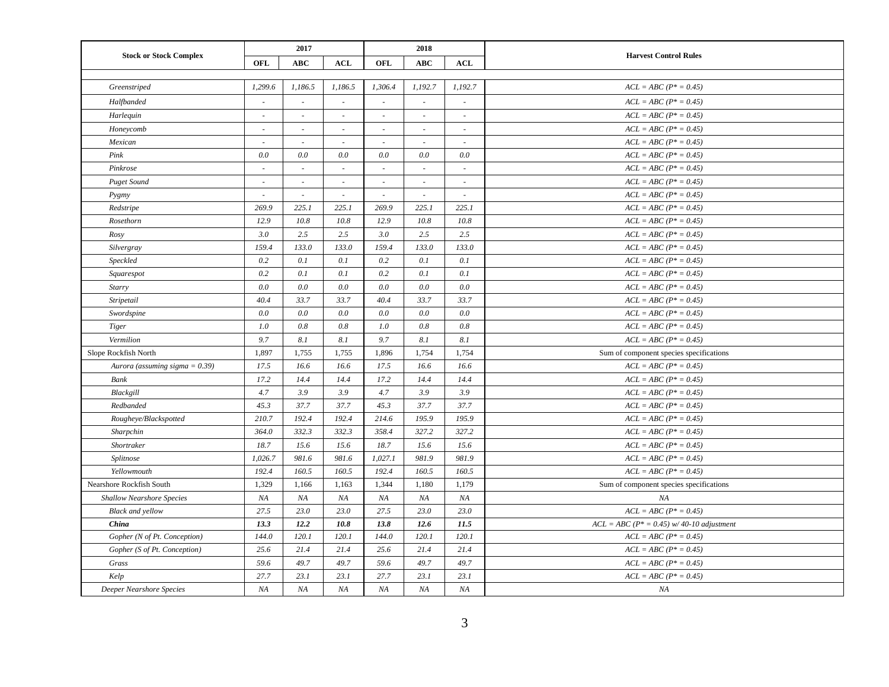| <b>Stock or Stock Complex</b>     |                          | 2017                        |            |         | 2018                     |                          |                                             |
|-----------------------------------|--------------------------|-----------------------------|------------|---------|--------------------------|--------------------------|---------------------------------------------|
|                                   | OFL                      | <b>ABC</b>                  | <b>ACL</b> | OFL     | <b>ABC</b>               | <b>ACL</b>               | <b>Harvest Control Rules</b>                |
|                                   |                          |                             |            |         |                          |                          |                                             |
| Greenstriped                      | 1,299.6                  | 1,186.5                     | 1,186.5    | 1,306.4 | 1,192.7                  | 1,192.7                  | $ACL = ABC (P^* = 0.45)$                    |
| Halfbanded                        | $\sim$                   | $\sim$                      | $\sim$     | $\sim$  | $\sim$                   | $\sim$                   | $ACL = ABC (P^* = 0.45)$                    |
| Harlequin                         | $\overline{\phantom{a}}$ | $\sim$                      | $\sim$     | $\sim$  | $\overline{\phantom{a}}$ | $\overline{\phantom{a}}$ | $ACL = ABC (P^* = 0.45)$                    |
| Honeycomb                         | $\sim$                   | $\sim$                      |            |         |                          |                          | $ACL = ABC (P^* = 0.45)$                    |
| Mexican                           |                          | $\sim$                      |            |         | $\sim$                   | ä,                       | $ACL = ABC (P^* = 0.45)$                    |
| Pink                              | 0.0                      | 0.0                         | 0.0        | 0.0     | 0.0                      | 0.0                      | $ACL = ABC (P^* = 0.45)$                    |
| Pinkrose                          | $\sim$                   | $\sim$                      | $\sim$     | $\sim$  | $\sim$                   | $\sim$                   | $ACL = ABC (P^* = 0.45)$                    |
| <b>Puget Sound</b>                | $\sim$                   | $\mathcal{L}_{\mathcal{A}}$ | $\sim$     | $\sim$  | $\sim$                   | $\sim$                   | $ACL = ABC (P^* = 0.45)$                    |
| Pygmy                             | $\sim$                   | $\sim$                      | $\sim$     | $\sim$  | $\sim$                   | $\sim$                   | $ACL = ABC (P^* = 0.45)$                    |
| Redstripe                         | 269.9                    | 225.1                       | 225.1      | 269.9   | 225.1                    | 225.1                    | $ACL = ABC (P^* = 0.45)$                    |
| Rosethorn                         | 12.9                     | 10.8                        | 10.8       | 12.9    | 10.8                     | 10.8                     | $ACL = ABC (P^* = 0.45)$                    |
| Rosy                              | 3.0                      | 2.5                         | 2.5        | 3.0     | 2.5                      | 2.5                      | $ACL = ABC (P^* = 0.45)$                    |
| Silvergray                        | 159.4                    | 133.0                       | 133.0      | 159.4   | 133.0                    | 133.0                    | $ACL = ABC (P^* = 0.45)$                    |
| Speckled                          | 0.2                      | 0.1                         | 0.1        | 0.2     | 0.1                      | 0.1                      | $ACL = ABC (P^* = 0.45)$                    |
| Squarespot                        | 0.2                      | 0.1                         | 0.1        | 0.2     | 0.1                      | 0.1                      | $ACL = ABC (P^* = 0.45)$                    |
| Starry                            | 0.0                      | 0.0                         | 0.0        | 0.0     | 0.0                      | 0.0                      | $ACL = ABC (P^* = 0.45)$                    |
| Stripetail                        | 40.4                     | 33.7                        | 33.7       | 40.4    | 33.7                     | 33.7                     | $ACL = ABC (P^* = 0.45)$                    |
| Swordspine                        | 0.0                      | 0.0                         | 0.0        | 0.0     | 0.0                      | 0.0                      | $ACL = ABC (P^* = 0.45)$                    |
| <b>Tiger</b>                      | 1.0                      | 0.8                         | 0.8        | 1.0     | 0.8                      | 0.8                      | $ACL = ABC (P^* = 0.45)$                    |
| Vermilion                         | 9.7                      | 8.1                         | 8.1        | 9.7     | 8.1                      | 8.1                      | $ACL = ABC (P^* = 0.45)$                    |
| Slope Rockfish North              | 1,897                    | 1,755                       | 1,755      | 1,896   | 1,754                    | 1,754                    | Sum of component species specifications     |
| Aurora (assuming sigma = $0.39$ ) | 17.5                     | 16.6                        | 16.6       | 17.5    | 16.6                     | 16.6                     | $ACL = ABC (P^* = 0.45)$                    |
| Bank                              | 17.2                     | 14.4                        | 14.4       | 17.2    | 14.4                     | 14.4                     | $ACL = ABC (P^* = 0.45)$                    |
| Blackgill                         | 4.7                      | 3.9                         | 3.9        | 4.7     | 3.9                      | 3.9                      | $ACL = ABC (P^* = 0.45)$                    |
| Redbanded                         | 45.3                     | 37.7                        | 37.7       | 45.3    | 37.7                     | 37.7                     | $ACL = ABC (P^* = 0.45)$                    |
| Rougheye/Blackspotted             | 210.7                    | 192.4                       | 192.4      | 214.6   | 195.9                    | 195.9                    | $ACL = ABC (P^* = 0.45)$                    |
| Sharpchin                         | 364.0                    | 332.3                       | 332.3      | 358.4   | 327.2                    | 327.2                    | $ACL = ABC (P^* = 0.45)$                    |
| Shortraker                        | 18.7                     | 15.6                        | 15.6       | 18.7    | 15.6                     | 15.6                     | $ACL = ABC (P^* = 0.45)$                    |
| Splitnose                         | 1,026.7                  | 981.6                       | 981.6      | 1,027.1 | 981.9                    | 981.9                    | $ACL = ABC (P^* = 0.45)$                    |
| Yellowmouth                       | 192.4                    | 160.5                       | 160.5      | 192.4   | 160.5                    | 160.5                    | $ACL = ABC (P^* = 0.45)$                    |
| Nearshore Rockfish South          | 1,329                    | 1,166                       | 1,163      | 1,344   | 1,180                    | 1,179                    | Sum of component species specifications     |
| <b>Shallow Nearshore Species</b>  | NA                       | NA                          | NA         | NA      | NA                       | NA                       | NA                                          |
| <b>Black and yellow</b>           | 27.5                     | 23.0                        | 23.0       | 27.5    | 23.0                     | 23.0                     | $ACL = ABC (P^* = 0.45)$                    |
| China                             | 13.3                     | 12.2                        | 10.8       | 13.8    | 12.6                     | 11.5                     | $ACL = ABC (P^* = 0.45)$ w/40-10 adjustment |
| Gopher (N of Pt. Conception)      | 144.0                    | 120.1                       | 120.1      | 144.0   | 120.1                    | 120.1                    | $ACL = ABC (P^* = 0.45)$                    |
| Gopher (S of Pt. Conception)      | 25.6                     | 21.4                        | 21.4       | 25.6    | 21.4                     | 21.4                     | $ACL = ABC (P^* = 0.45)$                    |
| Grass                             | 59.6                     | 49.7                        | 49.7       | 59.6    | 49.7                     | 49.7                     | $ACL = ABC (P^* = 0.45)$                    |
| Kelp                              | 27.7                     | 23.1                        | 23.1       | 27.7    | 23.1                     | 23.1                     | $ACL = ABC (P^* = 0.45)$                    |
| Deeper Nearshore Species          | NA                       | NA                          | NA         | NA      | NA                       | NA                       | NA                                          |
|                                   |                          |                             |            |         |                          |                          |                                             |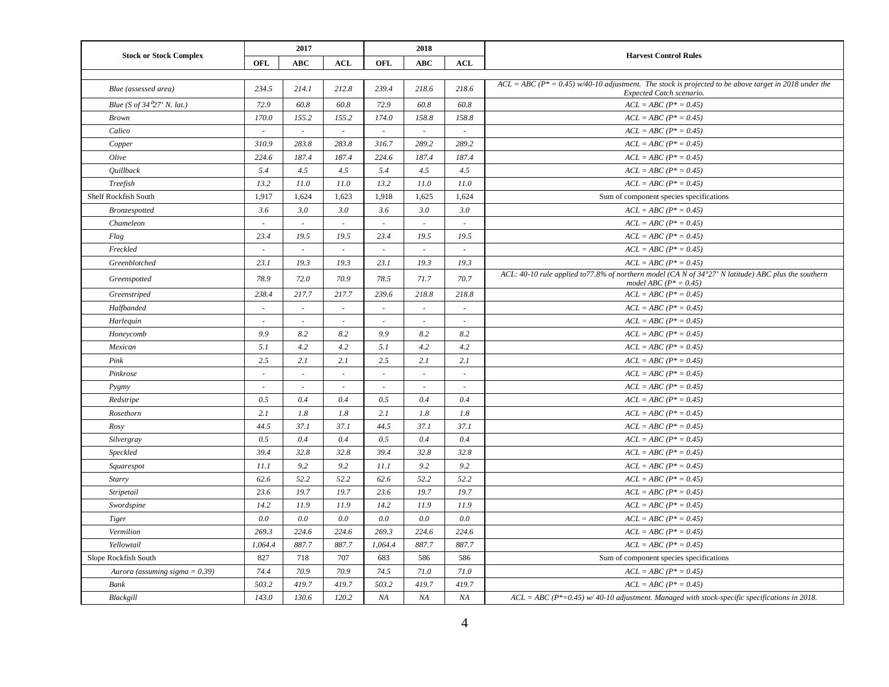| <b>Stock or Stock Complex</b>     | 2017                     |            |            | 2018                        |            |                          |                                                                                                                                      |
|-----------------------------------|--------------------------|------------|------------|-----------------------------|------------|--------------------------|--------------------------------------------------------------------------------------------------------------------------------------|
|                                   | OFL                      | <b>ABC</b> | <b>ACL</b> | OFL                         | <b>ABC</b> | <b>ACL</b>               | <b>Harvest Control Rules</b>                                                                                                         |
|                                   |                          |            |            |                             |            |                          |                                                                                                                                      |
| Blue (assessed area)              | 234.5                    | 214.1      | 212.8      | 239.4                       | 218.6      | 218.6                    | $ACL = ABC (P^* = 0.45) w/40-10$ adjustment. The stock is projected to be above target in 2018 under the<br>Expected Catch scenario. |
| Blue (S of 34 $27'$ N. lat.)      | 72.9                     | 60.8       | 60.8       | 72.9                        | 60.8       | 60.8                     | $ACL = ABC (P^* = 0.45)$                                                                                                             |
| <b>Brown</b>                      | 170.0                    | 155.2      | 155.2      | 174.0                       | 158.8      | 158.8                    | $ACL = ABC (P^* = 0.45)$                                                                                                             |
| Calico                            | ÷                        | $\sim$     | ×.         | $\overline{\phantom{a}}$    | $\sim$     | $\sim$                   | $ACL = ABC (P^* = 0.45)$                                                                                                             |
| Copper                            | 310.9                    | 283.8      | 283.8      | 316.7                       | 289.2      | 289.2                    | $ACL = ABC (P^* = 0.45)$                                                                                                             |
| Olive                             | 224.6                    | 187.4      | 187.4      | 224.6                       | 187.4      | 187.4                    | $ACL = ABC (P^* = 0.45)$                                                                                                             |
| Quillback                         | 5.4                      | 4.5        | 4.5        | 5.4                         | 4.5        | 4.5                      | $ACL = ABC (P^* = 0.45)$                                                                                                             |
| Treefish                          | 13.2                     | 11.0       | 11.0       | 13.2                        | 11.0       | 11.0                     | $ACL = ABC (P^* = 0.45)$                                                                                                             |
| Shelf Rockfish South              | 1,917                    | 1,624      | 1,623      | 1,918                       | 1,625      | 1,624                    | Sum of component species specifications                                                                                              |
| Bronzespotted                     | 3.6                      | 3.0        | 3.0        | 3.6                         | 3.0        | 3.0                      | $ACL = ABC (P^* = 0.45)$                                                                                                             |
| Chameleon                         | ÷                        | $\sim$     | $\sim$     | $\sim$                      | ÷.         | $\sim$                   | $ACL = ABC (P^* = 0.45)$                                                                                                             |
| Flag                              | 23.4                     | 19.5       | 19.5       | 23.4                        | 19.5       | 19.5                     | $ACL = ABC (P^* = 0.45)$                                                                                                             |
| Freckled                          | $\sim$                   | $\sim$     | $\sim$     | $\sim$                      |            | $\sim$                   | $ACL = ABC (P^* = 0.45)$                                                                                                             |
| Greenblotched                     | 23.1                     | 19.3       | 19.3       | 23.1                        | 19.3       | 19.3                     | $ACL = ABC (P^* = 0.45)$                                                                                                             |
| Greenspotted                      | 78.9                     | 72.0       | 70.9       | 78.5                        | 71.7       | 70.7                     | ACL: 40-10 rule applied to 77.8% of northern model (CA N of 34°27' N latitude) ABC plus the southern<br>model ABC ( $P^* = 0.45$ )   |
| Greenstriped                      | 238.4                    | 217.7      | 217.7      | 239.6                       | 218.8      | 218.8                    | $ACL = ABC (P^* = 0.45)$                                                                                                             |
| Halfbanded                        | $\sim$                   | $\sim$     | $\omega$   | $\mathcal{L}_{\mathcal{A}}$ | $\sim$     | $\sim$                   | $ACL = ABC (P^* = 0.45)$                                                                                                             |
| Harlequin                         | $\overline{\phantom{a}}$ | $\sim$     | $\sim$     | $\overline{\phantom{a}}$    | ÷,         | $\overline{\phantom{a}}$ | $ACL = ABC (P^* = 0.45)$                                                                                                             |
| Honeycomb                         | 9.9                      | 8.2        | 8.2        | 9.9                         | 8.2        | 8.2                      | $ACL = ABC (P^* = 0.45)$                                                                                                             |
| Mexican                           | 5.1                      | 4.2        | 4.2        | 5.1                         | 4.2        | 4.2                      | $ACL = ABC (P^* = 0.45)$                                                                                                             |
| Pink                              | 2.5                      | 2.1        | 2.1        | 2.5                         | 2.1        | 2.1                      | $ACL = ABC (P^* = 0.45)$                                                                                                             |
| Pinkrose                          | $\overline{\phantom{a}}$ | $\sim$     | $\sim$     | $\overline{\phantom{a}}$    | $\sim$     | $\overline{\phantom{a}}$ | $ACL = ABC (P^* = 0.45)$                                                                                                             |
| Pygmy                             | $\overline{\phantom{a}}$ | $\sim$     | $\sim$     | $\overline{\phantom{a}}$    | $\sim$     | $\overline{\phantom{a}}$ | $ACL = ABC (P^* = 0.45)$                                                                                                             |
| Redstripe                         | 0.5                      | 0.4        | 0.4        | 0.5                         | 0.4        | 0.4                      | $ACL = ABC (P^* = 0.45)$                                                                                                             |
| Rosethorn                         | 2.1                      | 1.8        | 1.8        | 2.1                         | 1.8        | 1.8                      | $ACL = ABC (P^* = 0.45)$                                                                                                             |
| Rosy                              | 44.5                     | 37.1       | 37.1       | 44.5                        | 37.1       | 37.1                     | $ACL = ABC (P^* = 0.45)$                                                                                                             |
| Silvergray                        | 0.5                      | 0.4        | 0.4        | 0.5                         | 0.4        | 0.4                      | $ACL = ABC (P^* = 0.45)$                                                                                                             |
| Speckled                          | 39.4                     | 32.8       | 32.8       | 39.4                        | 32.8       | 32.8                     | $ACL = ABC (P^* = 0.45)$                                                                                                             |
| Squarespot                        | 11.1                     | 9.2        | 9.2        | 11.1                        | 9.2        | 9.2                      | $ACL = ABC (P^* = 0.45)$                                                                                                             |
| Starry                            | 62.6                     | 52.2       | 52.2       | 62.6                        | 52.2       | 52.2                     | $ACL = ABC (P^* = 0.45)$                                                                                                             |
| Stripetail                        | 23.6                     | 19.7       | 19.7       | 23.6                        | 19.7       | 19.7                     | $ACL = ABC (P^* = 0.45)$                                                                                                             |
| Swordspine                        | 14.2                     | 11.9       | 11.9       | 14.2                        | 11.9       | 11.9                     | $ACL = ABC (P^* = 0.45)$                                                                                                             |
| Tiger                             | 0.0                      | 0.0        | 0.0        | 0.0                         | 0.0        | 0.0                      | $ACL = ABC (P^* = 0.45)$                                                                                                             |
| Vermilion                         | 269.3                    | 224.6      | 224.6      | 269.3                       | 224.6      | 224.6                    | $ACL = ABC (P^* = 0.45)$                                                                                                             |
| Yellowtail                        | 1,064.4                  | 887.7      | 887.7      | 1,064.4                     | 887.7      | 887.7                    | $ACL = ABC (P^* = 0.45)$                                                                                                             |
| Slope Rockfish South              | 827                      | 718        | 707        | 683                         | 586        | 586                      | Sum of component species specifications                                                                                              |
| Aurora (assuming sigma = $0.39$ ) | 74.4                     | 70.9       | 70.9       | 74.5                        | 71.0       | 71.0                     | $ACL = ABC (P^* = 0.45)$                                                                                                             |
| Bank                              | 503.2                    | 419.7      | 419.7      | 503.2                       | 419.7      | 419.7                    | $ACL = ABC (P^* = 0.45)$                                                                                                             |
| Blackgill                         | 143.0                    | 130.6      | 120.2      | $N\!A$                      | NA         | NA                       | $ACL = ABC (P^* = 0.45)$ w/40-10 adjustment. Managed with stock-specific specifications in 2018.                                     |